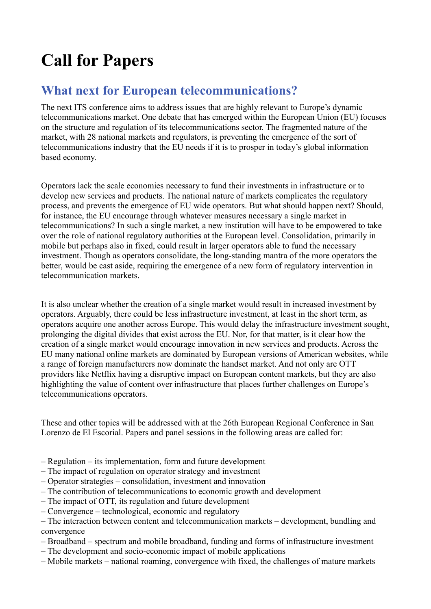# **Call for Papers**

## **What next for European telecommunications?**

The next ITS conference aims to address issues that are highly relevant to Europe's dynamic telecommunications market. One debate that has emerged within the European Union (EU) focuses on the structure and regulation of its telecommunications sector. The fragmented nature of the market, with 28 national markets and regulators, is preventing the emergence of the sort of telecommunications industry that the EU needs if it is to prosper in today's global information based economy.

Operators lack the scale economies necessary to fund their investments in infrastructure or to develop new services and products. The national nature of markets complicates the regulatory process, and prevents the emergence of EU wide operators. But what should happen next? Should, for instance, the EU encourage through whatever measures necessary a single market in telecommunications? In such a single market, a new institution will have to be empowered to take over the role of national regulatory authorities at the European level. Consolidation, primarily in mobile but perhaps also in fixed, could result in larger operators able to fund the necessary investment. Though as operators consolidate, the long-standing mantra of the more operators the better, would be cast aside, requiring the emergence of a new form of regulatory intervention in telecommunication markets.

It is also unclear whether the creation of a single market would result in increased investment by operators. Arguably, there could be less infrastructure investment, at least in the short term, as operators acquire one another across Europe. This would delay the infrastructure investment sought, prolonging the digital divides that exist across the EU. Nor, for that matter, is it clear how the creation of a single market would encourage innovation in new services and products. Across the EU many national online markets are dominated by European versions of American websites, while a range of foreign manufacturers now dominate the handset market. And not only are OTT providers like Netflix having a disruptive impact on European content markets, but they are also highlighting the value of content over infrastructure that places further challenges on Europe's telecommunications operators.

These and other topics will be addressed with at the 26th European Regional Conference in San Lorenzo de El Escorial. Papers and panel sessions in the following areas are called for:

- Regulation its implementation, form and future development
- The impact of regulation on operator strategy and investment
- Operator strategies consolidation, investment and innovation
- The contribution of telecommunications to economic growth and development
- The impact of OTT, its regulation and future development
- Convergence technological, economic and regulatory
- The interaction between content and telecommunication markets development, bundling and convergence
- Broadband spectrum and mobile broadband, funding and forms of infrastructure investment
- The development and socio-economic impact of mobile applications
- Mobile markets national roaming, convergence with fixed, the challenges of mature markets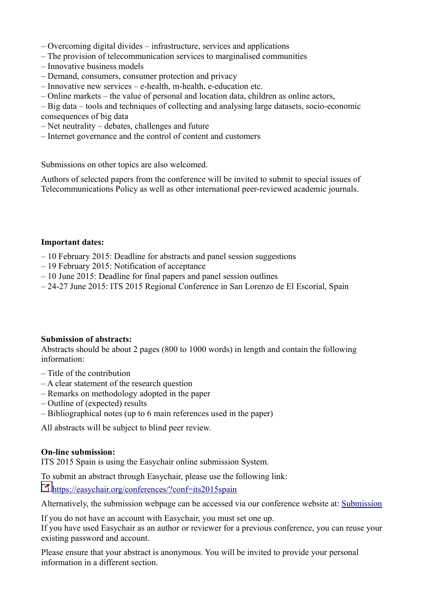- Overcoming digital divides infrastructure, services and applications
- The provision of telecommunication services to marginalised communities
- Innovative business models
- Demand, consumers, consumer protection and privacy
- Innovative new services e-health, m-health, e-education etc.
- Online markets the value of personal and location data, children as online actors,
- Big data tools and techniques of collecting and analysing large datasets, socio-economic consequences of big data
- Net neutrality debates, challenges and future
- Internet governance and the control of content and customers

Submissions on other topics are also welcomed.

Authors of selected papers from the conference will be invited to submit to special issues of Telecommunications Policy as well as other international peer-reviewed academic journals.

#### **Important dates:**

- 10 February 2015: Deadline for abstracts and panel session suggestions
- 19 February 2015: Notification of acceptance
- 10 June 2015: Deadline for final papers and panel session outlines
- 24-27 June 2015: ITS 2015 Regional Conference in San Lorenzo de El Escorial, Spain

#### **Submission of abstracts:**

Abstracts should be about 2 pages (800 to 1000 words) in length and contain the following information:

- Title of the contribution
- A clear statement of the research question
- Remarks on methodology adopted in the paper
- Outline of (expected) results
- Bibliographical notes (up to 6 main references used in the paper)

All abstracts will be subject to blind peer review.

#### **On-line submission:**

ITS 2015 Spain is using the Easychair online submission System.

To submit an abstract through Easychair, please use the following link:

<https://easychair.org/conferences/?conf=its2015spain>

Alternatively, the submission webpage can be accessed via our conference website at: [Submission](http://www.itsconference2012.org/wp/?page_id=14)

If you do not have an account with Easychair, you must set one up.

If you have used Easychair as an author or reviewer for a previous conference, you can reuse your existing password and account.

Please ensure that your abstract is anonymous. You will be invited to provide your personal information in a different section.